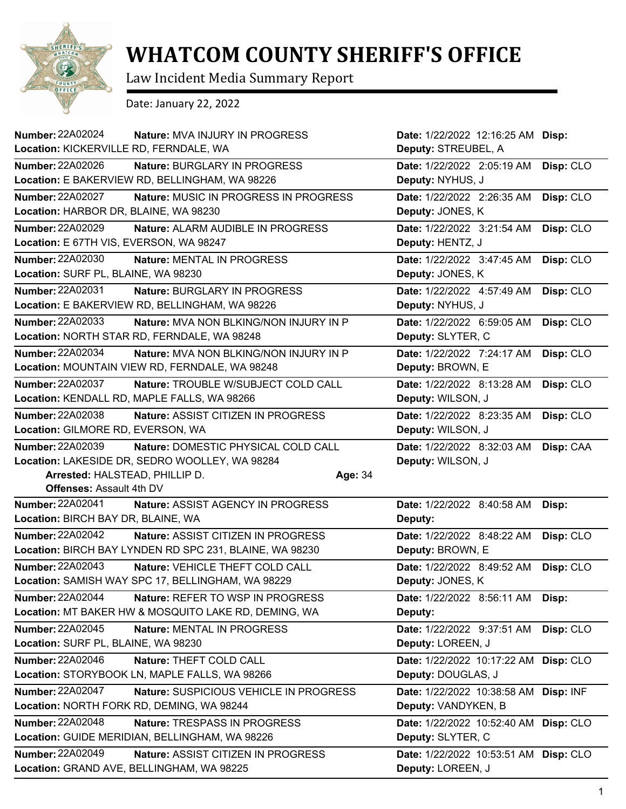

## **WHATCOM COUNTY SHERIFF'S OFFICE**

Law Incident Media Summary Report

Date: January 22, 2022

| <b>Number: 22A02024</b>                        | Nature: MVA INJURY IN PROGRESS                                                  | Date: 1/22/2022 12:16:25 AM Disp:                          |           |
|------------------------------------------------|---------------------------------------------------------------------------------|------------------------------------------------------------|-----------|
| Location: KICKERVILLE RD, FERNDALE, WA         |                                                                                 | Deputy: STREUBEL, A                                        |           |
| Number: 22A02026                               | Nature: BURGLARY IN PROGRESS                                                    | Date: 1/22/2022 2:05:19 AM                                 | Disp: CLO |
|                                                | Location: E BAKERVIEW RD, BELLINGHAM, WA 98226                                  | Deputy: NYHUS, J                                           |           |
| <b>Number: 22A02027</b>                        | Nature: MUSIC IN PROGRESS IN PROGRESS                                           | Date: 1/22/2022 2:26:35 AM                                 | Disp: CLO |
| Location: HARBOR DR, BLAINE, WA 98230          |                                                                                 | Deputy: JONES, K                                           |           |
| <b>Number: 22A02029</b>                        | Nature: ALARM AUDIBLE IN PROGRESS                                               | Date: 1/22/2022 3:21:54 AM                                 | Disp: CLO |
| Location: E 67TH VIS, EVERSON, WA 98247        |                                                                                 | Deputy: HENTZ, J                                           |           |
| Number: 22A02030                               | Nature: MENTAL IN PROGRESS                                                      | Date: 1/22/2022 3:47:45 AM                                 | Disp: CLO |
| Location: SURF PL, BLAINE, WA 98230            |                                                                                 | Deputy: JONES, K                                           |           |
| <b>Number: 22A02031</b>                        | Nature: BURGLARY IN PROGRESS                                                    | Date: 1/22/2022 4:57:49 AM                                 | Disp: CLO |
|                                                | Location: E BAKERVIEW RD, BELLINGHAM, WA 98226                                  | Deputy: NYHUS, J                                           |           |
| Number: 22A02033                               | Nature: MVA NON BLKING/NON INJURY IN P                                          | Date: 1/22/2022 6:59:05 AM                                 | Disp: CLO |
|                                                | Location: NORTH STAR RD, FERNDALE, WA 98248                                     | Deputy: SLYTER, C                                          |           |
| <b>Number: 22A02034</b>                        | Nature: MVA NON BLKING/NON INJURY IN P                                          | Date: 1/22/2022 7:24:17 AM                                 | Disp: CLO |
|                                                | Location: MOUNTAIN VIEW RD, FERNDALE, WA 98248                                  | Deputy: BROWN, E                                           |           |
| Number: 22A02037                               | Nature: TROUBLE W/SUBJECT COLD CALL                                             | Date: 1/22/2022 8:13:28 AM                                 | Disp: CLO |
|                                                | Location: KENDALL RD, MAPLE FALLS, WA 98266                                     | Deputy: WILSON, J                                          |           |
| Number: 22A02038                               | Nature: ASSIST CITIZEN IN PROGRESS                                              | Date: 1/22/2022 8:23:35 AM                                 | Disp: CLO |
| Location: GILMORE RD, EVERSON, WA              |                                                                                 | Deputy: WILSON, J                                          |           |
| Number: 22A02039                               | Nature: DOMESTIC PHYSICAL COLD CALL                                             | Date: 1/22/2022 8:32:03 AM                                 | Disp: CAA |
| Location: LAKESIDE DR, SEDRO WOOLLEY, WA 98284 |                                                                                 |                                                            |           |
|                                                |                                                                                 | Deputy: WILSON, J                                          |           |
| Arrested: HALSTEAD, PHILLIP D.                 |                                                                                 | Age: 34                                                    |           |
| <b>Offenses: Assault 4th DV</b>                |                                                                                 |                                                            |           |
| Number: 22A02041                               | Nature: ASSIST AGENCY IN PROGRESS                                               | Date: 1/22/2022 8:40:58 AM                                 | Disp:     |
| Location: BIRCH BAY DR, BLAINE, WA             |                                                                                 | Deputy:                                                    |           |
| <b>Number: 22A02042</b>                        | Nature: ASSIST CITIZEN IN PROGRESS                                              | Date: 1/22/2022 8:48:22 AM                                 | Disp: CLO |
|                                                | Location: BIRCH BAY LYNDEN RD SPC 231, BLAINE, WA 98230                         | Deputy: BROWN, E                                           |           |
| <b>Number: 22A02043</b>                        | Nature: VEHICLE THEFT COLD CALL                                                 | Date: 1/22/2022 8:49:52 AM                                 | Disp: CLO |
|                                                | Location: SAMISH WAY SPC 17, BELLINGHAM, WA 98229                               | Deputy: JONES, K                                           |           |
| <b>Number: 22A02044</b>                        | Nature: REFER TO WSP IN PROGRESS                                                | Date: 1/22/2022 8:56:11 AM                                 | Disp:     |
|                                                | Location: MT BAKER HW & MOSQUITO LAKE RD, DEMING, WA                            | Deputy:                                                    |           |
| Number: 22A02045                               | Nature: MENTAL IN PROGRESS                                                      | Date: 1/22/2022 9:37:51 AM                                 | Disp: CLO |
| Location: SURF PL, BLAINE, WA 98230            |                                                                                 | Deputy: LOREEN, J                                          |           |
| Number: 22A02046                               | Nature: THEFT COLD CALL                                                         | Date: 1/22/2022 10:17:22 AM Disp: CLO                      |           |
|                                                | Location: STORYBOOK LN, MAPLE FALLS, WA 98266                                   | Deputy: DOUGLAS, J                                         |           |
| <b>Number: 22A02047</b>                        | Nature: SUSPICIOUS VEHICLE IN PROGRESS                                          | Date: 1/22/2022 10:38:58 AM Disp: INF                      |           |
|                                                | Location: NORTH FORK RD, DEMING, WA 98244                                       | Deputy: VANDYKEN, B                                        |           |
| <b>Number: 22A02048</b>                        | Nature: TRESPASS IN PROGRESS                                                    | Date: 1/22/2022 10:52:40 AM Disp: CLO                      |           |
|                                                | Location: GUIDE MERIDIAN, BELLINGHAM, WA 98226                                  | Deputy: SLYTER, C                                          |           |
| Number: 22A02049                               | Nature: ASSIST CITIZEN IN PROGRESS<br>Location: GRAND AVE, BELLINGHAM, WA 98225 | Date: 1/22/2022 10:53:51 AM Disp: CLO<br>Deputy: LOREEN, J |           |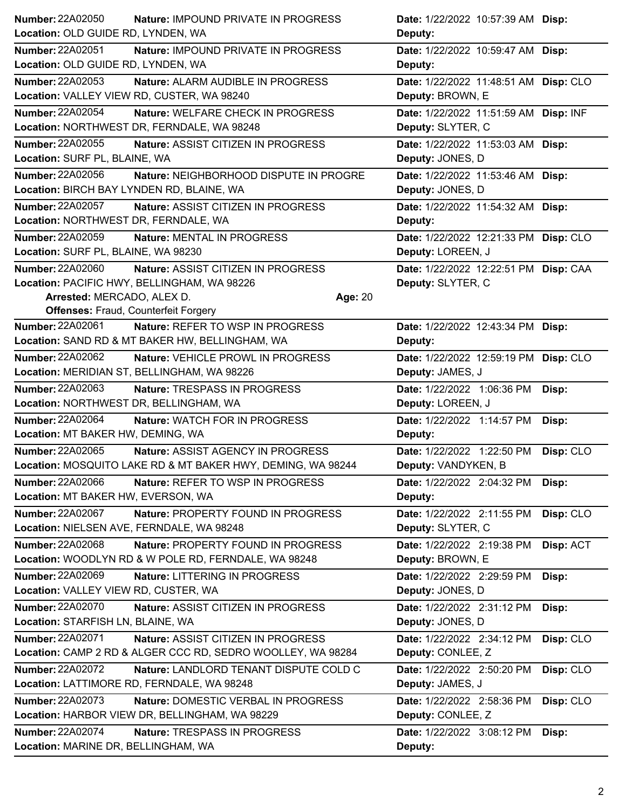| <b>Number: 22A02050</b>                                     | Nature: IMPOUND PRIVATE IN PROGRESS<br>Date: 1/22/2022 10:57:39 AM Disp:     |           |
|-------------------------------------------------------------|------------------------------------------------------------------------------|-----------|
| Location: OLD GUIDE RD, LYNDEN, WA                          | Deputy:                                                                      |           |
| <b>Number: 22A02051</b>                                     | Nature: IMPOUND PRIVATE IN PROGRESS<br>Date: 1/22/2022 10:59:47 AM Disp:     |           |
| Location: OLD GUIDE RD, LYNDEN, WA                          | Deputy:                                                                      |           |
| <b>Number: 22A02053</b>                                     | Nature: ALARM AUDIBLE IN PROGRESS<br>Date: 1/22/2022 11:48:51 AM Disp: CLO   |           |
| Location: VALLEY VIEW RD, CUSTER, WA 98240                  | Deputy: BROWN, E                                                             |           |
| <b>Number: 22A02054</b>                                     | Nature: WELFARE CHECK IN PROGRESS<br>Date: 1/22/2022 11:51:59 AM Disp: INF   |           |
| Location: NORTHWEST DR, FERNDALE, WA 98248                  | Deputy: SLYTER, C                                                            |           |
| Number: 22A02055                                            | Nature: ASSIST CITIZEN IN PROGRESS<br>Date: 1/22/2022 11:53:03 AM Disp:      |           |
| Location: SURF PL, BLAINE, WA                               | Deputy: JONES, D                                                             |           |
| <b>Number: 22A02056</b>                                     | Nature: NEIGHBORHOOD DISPUTE IN PROGRE<br>Date: 1/22/2022 11:53:46 AM Disp:  |           |
| Location: BIRCH BAY LYNDEN RD, BLAINE, WA                   | Deputy: JONES, D                                                             |           |
| <b>Number: 22A02057</b>                                     | Nature: ASSIST CITIZEN IN PROGRESS<br>Date: 1/22/2022 11:54:32 AM Disp:      |           |
| Location: NORTHWEST DR, FERNDALE, WA                        | Deputy:                                                                      |           |
| Number: 22A02059<br>Nature: MENTAL IN PROGRESS              | Date: 1/22/2022 12:21:33 PM Disp: CLO                                        |           |
| Location: SURF PL, BLAINE, WA 98230                         | Deputy: LOREEN, J                                                            |           |
| Number: 22A02060                                            | Nature: ASSIST CITIZEN IN PROGRESS<br>Date: 1/22/2022 12:22:51 PM Disp: CAA  |           |
| Location: PACIFIC HWY, BELLINGHAM, WA 98226                 | Deputy: SLYTER, C                                                            |           |
| Arrested: MERCADO, ALEX D.                                  | Age: 20                                                                      |           |
| <b>Offenses: Fraud, Counterfeit Forgery</b>                 |                                                                              |           |
| Number: 22A02061                                            | <b>Nature: REFER TO WSP IN PROGRESS</b><br>Date: 1/22/2022 12:43:34 PM Disp: |           |
| Location: SAND RD & MT BAKER HW, BELLINGHAM, WA             | Deputy:                                                                      |           |
| Number: 22A02062                                            | Nature: VEHICLE PROWL IN PROGRESS<br>Date: 1/22/2022 12:59:19 PM Disp: CLO   |           |
| Location: MERIDIAN ST, BELLINGHAM, WA 98226                 | Deputy: JAMES, J                                                             |           |
| Number: 22A02063<br>Nature: TRESPASS IN PROGRESS            | Date: 1/22/2022 1:06:36 PM                                                   |           |
|                                                             |                                                                              | Disp:     |
| Location: NORTHWEST DR, BELLINGHAM, WA                      | Deputy: LOREEN, J                                                            |           |
| Number: 22A02064<br>Nature: WATCH FOR IN PROGRESS           | Date: 1/22/2022 1:14:57 PM                                                   | Disp:     |
| Location: MT BAKER HW, DEMING, WA                           | Deputy:                                                                      |           |
| Number: 22A02065                                            | Nature: ASSIST AGENCY IN PROGRESS<br>Date: 1/22/2022 1:22:50 PM              | Disp: CLO |
| Location: MOSQUITO LAKE RD & MT BAKER HWY, DEMING, WA 98244 | Deputy: VANDYKEN, B                                                          |           |
| Number: 22A02066                                            | Nature: REFER TO WSP IN PROGRESS<br>Date: 1/22/2022 2:04:32 PM               | Disp:     |
| Location: MT BAKER HW, EVERSON, WA                          | Deputy:                                                                      |           |
| Number: 22A02067                                            | Nature: PROPERTY FOUND IN PROGRESS<br>Date: 1/22/2022 2:11:55 PM             | Disp: CLO |
| Location: NIELSEN AVE, FERNDALE, WA 98248                   | Deputy: SLYTER, C                                                            |           |
| Number: 22A02068                                            | Nature: PROPERTY FOUND IN PROGRESS<br>Date: 1/22/2022 2:19:38 PM             | Disp: ACT |
| Location: WOODLYN RD & W POLE RD, FERNDALE, WA 98248        | Deputy: BROWN, E                                                             |           |
| Number: 22A02069<br>Nature: LITTERING IN PROGRESS           | Date: 1/22/2022 2:29:59 PM                                                   | Disp:     |
| Location: VALLEY VIEW RD, CUSTER, WA                        | Deputy: JONES, D                                                             |           |
| Number: 22A02070                                            | Nature: ASSIST CITIZEN IN PROGRESS<br>Date: 1/22/2022 2:31:12 PM             | Disp:     |
| Location: STARFISH LN, BLAINE, WA                           | Deputy: JONES, D                                                             |           |
| Number: 22A02071                                            | Nature: ASSIST CITIZEN IN PROGRESS<br>Date: 1/22/2022 2:34:12 PM             | Disp: CLO |
| Location: CAMP 2 RD & ALGER CCC RD, SEDRO WOOLLEY, WA 98284 | Deputy: CONLEE, Z                                                            |           |
| Number: 22A02072                                            | Nature: LANDLORD TENANT DISPUTE COLD C<br>Date: 1/22/2022 2:50:20 PM         | Disp: CLO |
| Location: LATTIMORE RD, FERNDALE, WA 98248                  | Deputy: JAMES, J                                                             |           |
| Number: 22A02073                                            | Nature: DOMESTIC VERBAL IN PROGRESS<br>Date: 1/22/2022 2:58:36 PM            | Disp: CLO |
| Location: HARBOR VIEW DR, BELLINGHAM, WA 98229              | Deputy: CONLEE, Z                                                            |           |
| Number: 22A02074<br>Nature: TRESPASS IN PROGRESS            | Date: 1/22/2022 3:08:12 PM                                                   | Disp:     |